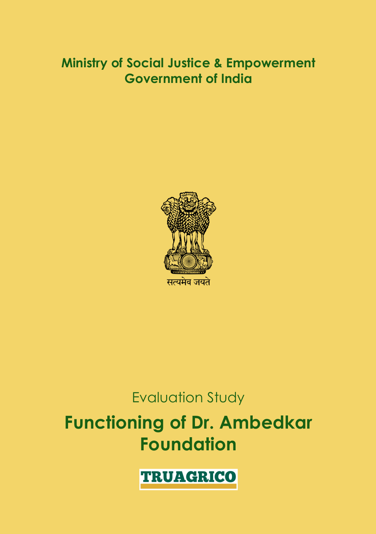### **Ministry of Social Justice & Empowerment Government of India**



## Evaluation Study

## **Functioning of Dr. Ambedkar Foundation**

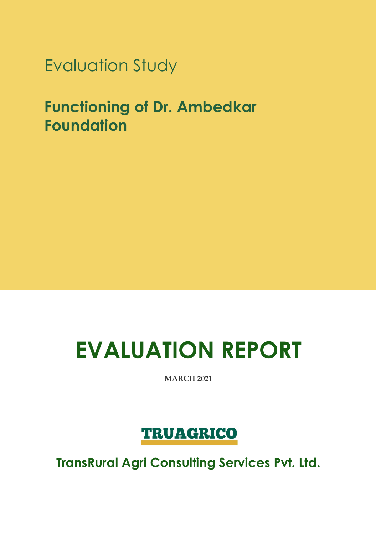Evaluation Study

**Functioning of Dr. Ambedkar Foundation**

# **EVALUATION REPORT**

**MARCH 2021**

## **TRUAGRICO**

**TransRural Agri Consulting Services Pvt. Ltd.**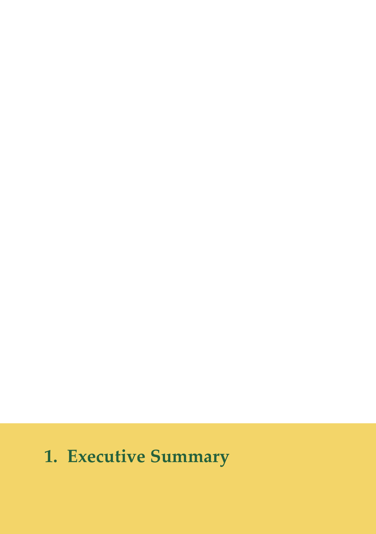## **1. Executive Summary**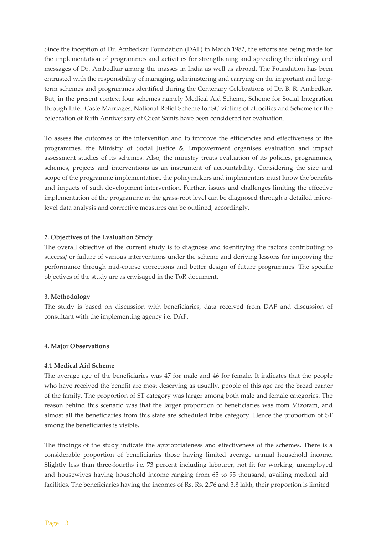Since the inception of Dr. Ambedkar Foundation (DAF) in March 1982, the efforts are being made for the implementation of programmes and activities for strengthening and spreading the ideology and messages of Dr. Ambedkar among the masses in India as well as abroad. The Foundation has been entrusted with the responsibility of managing, administering and carrying on the important and longterm schemes and programmes identified during the Centenary Celebrations of Dr. B. R. Ambedkar. But, in the present context four schemes namely Medical Aid Scheme, Scheme for Social Integration through Inter‐Caste Marriages, National Relief Scheme for SC victims of atrocities and Scheme for the celebration of Birth Anniversary of Great Saints have been considered for evaluation.

To assess the outcomes of the intervention and to improve the efficiencies and effectiveness of the programmes, the Ministry of Social Justice & Empowerment organises evaluation and impact assessment studies of its schemes. Also, the ministry treats evaluation of its policies, programmes, schemes, projects and interventions as an instrument of accountability. Considering the size and scope of the programme implementation, the policymakers and implementers must know the benefits and impacts of such development intervention. Further, issues and challenges limiting the effective implementation of the programme at the grass-root level can be diagnosed through a detailed microlevel data analysis and corrective measures can be outlined, accordingly.

#### **2. Objectives of the Evaluation Study**

The overall objective of the current study is to diagnose and identifying the factors contributing to success/ or failure of various interventions under the scheme and deriving lessons for improving the performance through mid‐course corrections and better design of future programmes. The specific objectives of the study are as envisaged in the ToR document.

#### **3. Methodology**

The study is based on discussion with beneficiaries, data received from DAF and discussion of consultant with the implementing agency i.e. DAF.

#### **4. Major Observations**

#### **4.1 Medical Aid Scheme**

The average age of the beneficiaries was 47 for male and 46 for female. It indicates that the people who have received the benefit are most deserving as usually, people of this age are the bread earner of the family. The proportion of ST category was larger among both male and female categories. The reason behind this scenario was that the larger proportion of beneficiaries was from Mizoram, and almost all the beneficiaries from this state are scheduled tribe category. Hence the proportion of ST among the beneficiaries is visible.

The findings of the study indicate the appropriateness and effectiveness of the schemes. There is a considerable proportion of beneficiaries those having limited average annual household income. Slightly less than three‐fourths i.e. 73 percent including labourer, not fit for working, unemployed and housewives having household income ranging from 65 to 95 thousand, availing medical aid facilities. The beneficiaries having the incomes of Rs. Rs. 2.76 and 3.8 lakh, their proportion is limited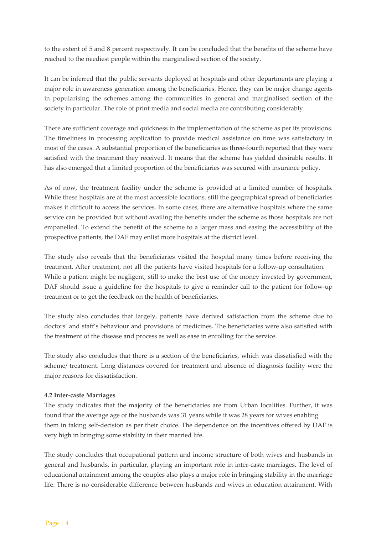to the extent of 5 and 8 percent respectively. It can be concluded that the benefits of the scheme have reached to the neediest people within the marginalised section of the society.

It can be inferred that the public servants deployed at hospitals and other departments are playing a major role in awareness generation among the beneficiaries. Hence, they can be major change agents in popularising the schemes among the communities in general and marginalised section of the society in particular. The role of print media and social media are contributing considerably.

There are sufficient coverage and quickness in the implementation of the scheme as per its provisions. The timeliness in processing application to provide medical assistance on time was satisfactory in most of the cases. A substantial proportion of the beneficiaries as three-fourth reported that they were satisfied with the treatment they received. It means that the scheme has yielded desirable results. It has also emerged that a limited proportion of the beneficiaries was secured with insurance policy.

As of now, the treatment facility under the scheme is provided at a limited number of hospitals. While these hospitals are at the most accessible locations, still the geographical spread of beneficiaries makes it difficult to access the services. In some cases, there are alternative hospitals where the same service can be provided but without availing the benefits under the scheme as those hospitals are not empanelled. To extend the benefit of the scheme to a larger mass and easing the accessibility of the prospective patients, the DAF may enlist more hospitals at the district level.

The study also reveals that the beneficiaries visited the hospital many times before receiving the treatment. After treatment, not all the patients have visited hospitals for a follow‐up consultation. While a patient might be negligent, still to make the best use of the money invested by government, DAF should issue a guideline for the hospitals to give a reminder call to the patient for follow-up treatment or to get the feedback on the health of beneficiaries.

The study also concludes that largely, patients have derived satisfaction from the scheme due to doctors' and staff's behaviour and provisions of medicines. The beneficiaries were also satisfied with the treatment of the disease and process as well as ease in enrolling for the service.

The study also concludes that there is a section of the beneficiaries, which was dissatisfied with the scheme/ treatment. Long distances covered for treatment and absence of diagnosis facility were the major reasons for dissatisfaction.

#### **4.2 Inter‐caste Marriages**

The study indicates that the majority of the beneficiaries are from Urban localities. Further, it was found that the average age of the husbands was 31 years while it was 28 years for wives enabling them in taking self‐decision as per their choice. The dependence on the incentives offered by DAF is very high in bringing some stability in their married life.

The study concludes that occupational pattern and income structure of both wives and husbands in general and husbands, in particular, playing an important role in inter‐caste marriages. The level of educational attainment among the couples also plays a major role in bringing stability in the marriage life. There is no considerable difference between husbands and wives in education attainment. With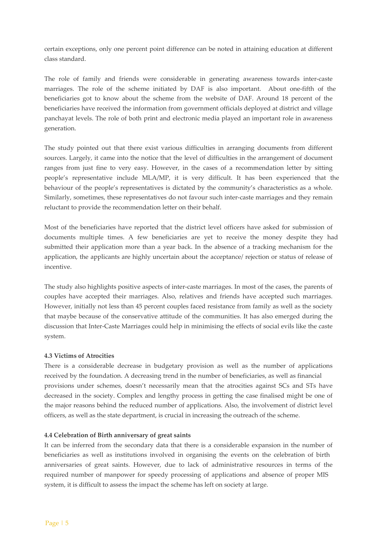certain exceptions, only one percent point difference can be noted in attaining education at different class standard.

The role of family and friends were considerable in generating awareness towards inter‐caste marriages. The role of the scheme initiated by DAF is also important. About one‐fifth of the beneficiaries got to know about the scheme from the website of DAF. Around 18 percent of the beneficiaries have received the information from government officials deployed at district and village panchayat levels. The role of both print and electronic media played an important role in awareness generation.

The study pointed out that there exist various difficulties in arranging documents from different sources. Largely, it came into the notice that the level of difficulties in the arrangement of document ranges from just fine to very easy. However, in the cases of a recommendation letter by sitting people's representative include MLA/MP, it is very difficult. It has been experienced that the behaviour of the people's representatives is dictated by the community's characteristics as a whole. Similarly, sometimes, these representatives do not favour such inter‐caste marriages and they remain reluctant to provide the recommendation letter on their behalf.

Most of the beneficiaries have reported that the district level officers have asked for submission of documents multiple times. A few beneficiaries are yet to receive the money despite they had submitted their application more than a year back. In the absence of a tracking mechanism for the application, the applicants are highly uncertain about the acceptance/ rejection or status of release of incentive.

The study also highlights positive aspects of inter-caste marriages. In most of the cases, the parents of couples have accepted their marriages. Also, relatives and friends have accepted such marriages. However, initially not less than 45 percent couples faced resistance from family as well as the society that maybe because of the conservative attitude of the communities. It has also emerged during the discussion that Inter‐Caste Marriages could help in minimising the effects of social evils like the caste system.

#### **4.3 Victims of Atrocities**

There is a considerable decrease in budgetary provision as well as the number of applications received by the foundation. A decreasing trend in the number of beneficiaries, as well as financial provisions under schemes, doesn't necessarily mean that the atrocities against SCs and STs have decreased in the society. Complex and lengthy process in getting the case finalised might be one of the major reasons behind the reduced number of applications. Also, the involvement of district level officers, as well as the state department, is crucial in increasing the outreach of the scheme.

#### **4.4 Celebration of Birth anniversary of great saints**

It can be inferred from the secondary data that there is a considerable expansion in the number of beneficiaries as well as institutions involved in organising the events on the celebration of birth anniversaries of great saints. However, due to lack of administrative resources in terms of the required number of manpower for speedy processing of applications and absence of proper MIS system, it is difficult to assess the impact the scheme has left on society at large.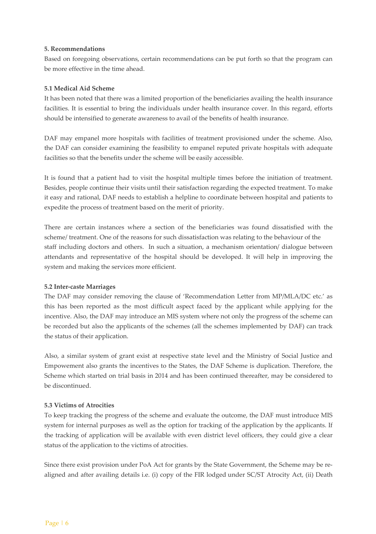#### **5. Recommendations**

Based on foregoing observations, certain recommendations can be put forth so that the program can be more effective in the time ahead.

#### **5.1 Medical Aid Scheme**

It has been noted that there was a limited proportion of the beneficiaries availing the health insurance facilities. It is essential to bring the individuals under health insurance cover. In this regard, efforts should be intensified to generate awareness to avail of the benefits of health insurance.

DAF may empanel more hospitals with facilities of treatment provisioned under the scheme. Also, the DAF can consider examining the feasibility to empanel reputed private hospitals with adequate facilities so that the benefits under the scheme will be easily accessible.

It is found that a patient had to visit the hospital multiple times before the initiation of treatment. Besides, people continue their visits until their satisfaction regarding the expected treatment. To make it easy and rational, DAF needs to establish a helpline to coordinate between hospital and patients to expedite the process of treatment based on the merit of priority.

There are certain instances where a section of the beneficiaries was found dissatisfied with the scheme/ treatment. One of the reasons for such dissatisfaction was relating to the behaviour of the staff including doctors and others. In such a situation, a mechanism orientation/ dialogue between attendants and representative of the hospital should be developed. It will help in improving the system and making the services more efficient.

#### **5.2 Inter‐caste Marriages**

The DAF may consider removing the clause of 'Recommendation Letter from MP/MLA/DC etc.' as this has been reported as the most difficult aspect faced by the applicant while applying for the incentive. Also, the DAF may introduce an MIS system where not only the progress of the scheme can be recorded but also the applicants of the schemes (all the schemes implemented by DAF) can track the status of their application.

Also, a similar system of grant exist at respective state level and the Ministry of Social Justice and Empowement also grants the incentives to the States, the DAF Scheme is duplication. Therefore, the Scheme which started on trial basis in 2014 and has been continued thereafter, may be considered to be discontinued.

#### **5.3 Victims of Atrocities**

To keep tracking the progress of the scheme and evaluate the outcome, the DAF must introduce MIS system for internal purposes as well as the option for tracking of the application by the applicants. If the tracking of application will be available with even district level officers, they could give a clear status of the application to the victims of atrocities.

Since there exist provision under PoA Act for grants by the State Government, the Scheme may be realigned and after availing details i.e. (i) copy of the FIR lodged under SC/ST Atrocity Act, (ii) Death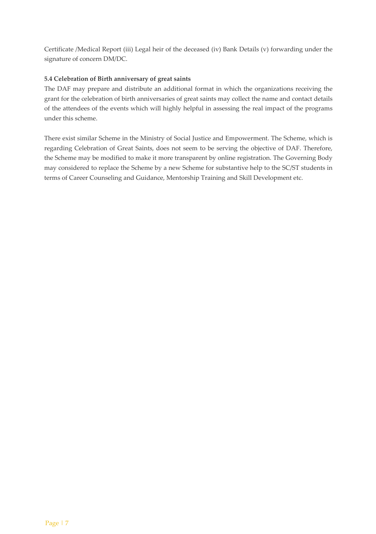Certificate /Medical Report (iii) Legal heir of the deceased (iv) Bank Details (v) forwarding under the signature of concern DM/DC.

#### **5.4 Celebration of Birth anniversary of great saints**

The DAF may prepare and distribute an additional format in which the organizations receiving the grant for the celebration of birth anniversaries of great saints may collect the name and contact details of the attendees of the events which will highly helpful in assessing the real impact of the programs under this scheme.

There exist similar Scheme in the Ministry of Social Justice and Empowerment. The Scheme, which is regarding Celebration of Great Saints, does not seem to be serving the objective of DAF. Therefore, the Scheme may be modified to make it more transparent by online registration. The Governing Body may considered to replace the Scheme by a new Scheme for substantive help to the SC/ST students in terms of Career Counseling and Guidance, Mentorship Training and Skill Development etc.